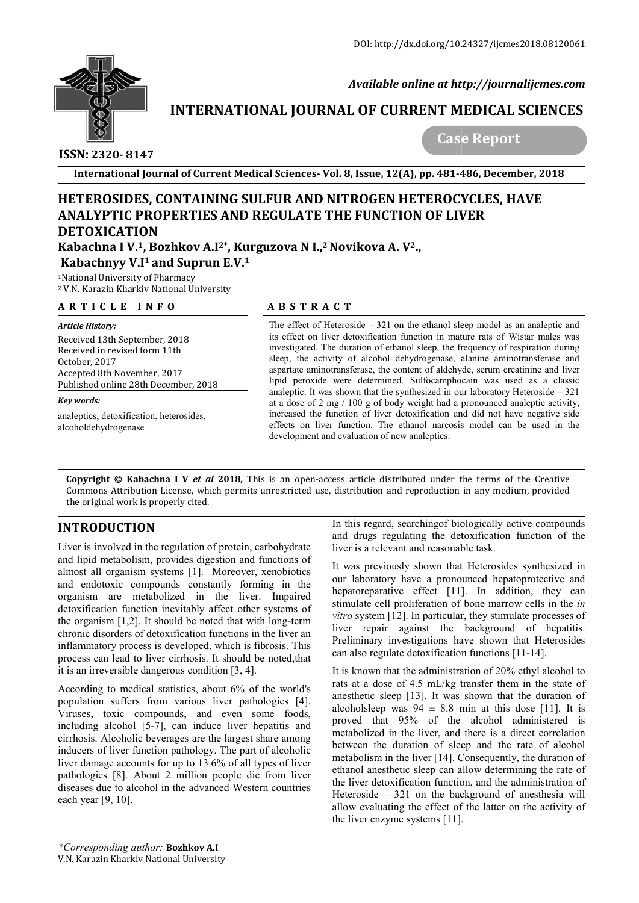

 *Available online at http://journalijcmes.com*

## **INTERNATIONAL JOURNAL OF CURRENT MEDICAL SCIENCES SCIENCES**

 **ISSN: 2320- 8147**

 **Case Report**

**International Journal of Current Medical Sciences Sciences- Vol. 8, Issue, 12(A), pp. 481-486**

# **HETEROSIDES, CONTAINING SULFUR AND NITROGEN HETEROCYCLES, HAVE ANALYPTIC PROPERTIES AND REGULATE THE FUNCTION OF LIVER DETOXICATION**

Kabachna I V.<sup>1</sup>, Bozhkov A.I<sup>2</sup>\*, Kurguzova N I.,<sup>2</sup> Novikova A. V<sup>2</sup>., **Kabachnyy V.I1 and Suprun E.V. E.V.1**

1National University of Pharmacy

<sup>2</sup> V.N. Karazin Kharkiv National University

### **A R T I C L E I N F O**

*Article History:*  Received 13th September, 2018 Received in revised form 11th October, 2017 Accepted 8th November, 2017 Published online 28th December, 2018

### *Key words:*

analeptics, detoxification, heterosides, alcoholdehydrogenase

## **A B S T R A C T**

The effect of Heteroside – 321 on the ethanol sleep model as an analeptic and The effect of Heteroside  $-321$  on the ethanol sleep model as an analeptic and its effect on liver detoxification function in mature rats of Wistar males was investigated. The duration of ethanol sleep, the frequency of respiration during sleep, the activity of alcohol dehydrogenase, alanine aminotransferase and aspartate aminotransferase, the content of aldehyde, serum creatinine and liver lipid peroxide were determined. Sulfocamphocain was used as a classic analeptic. It was shown that the synthesized in our laboratory Heteroside  $-321$ at a dose of 2 mg / 100 g of body weight had a pronounced analeptic activity, increased the function of liver detoxification and did not have negative side effects on liver function. The ethanol narcosis model can be used in the development and evaluation of new analeptics. of during the activity of alcohol dehydrogenase, alanine aminotransferase and partate aminotransferase, the content of aldehyde, serum creatinine and liver id peroxide were determined. Sulfocamphocain was used as a classic a dose of 2 mg / 100 g of body weight had a pronounced analeptic activity,<br>reased the function of liver detoxification and did not have negative side<br>fects on liver function. The ethanol narcosis model can be used in the<br>v

**Copyright © Kabachna I V** *et al* **201 2018***,* This is an open-access article distributed under the terms of the Creative **Copyright © Kabachna I V** *et al* **2018**, This is an open-access article distributed under the terms of the Creative<br>Commons Attribution License, which permits unrestricted use, distribution and reproduction in any medium, the original work is properly cited.

## **INTRODUCTION**

Liver is involved in the regulation of protein, carbohydrate and lipid metabolism, provides digestion and functions of almost all organism systems [1]. Moreover, xenobiotics and endotoxic compounds constantly forming in the organism are metabolized in the liver. Impaired detoxification function inevitably affect other systems of the organism  $[1,2]$ . It should be noted that with long-term chronic disorders of detoxification functions in the liver an inflammatory process is developed, which is fibrosis. This process can lead to liver cirrhosis. It should be noted,that it is an irreversible dangerous condition [3, 4].

According to medical statistics, about 6% of the world's population suffers from various liver pathologies [4]. Viruses, toxic compounds, and even some foods, including alcohol [5-7], can induce liver hepatitis and cirrhosis. Alcoholic beverages are the largest share among inducers of liver function pathology. The part of alcoholic liver damage accounts for up to 13.6% of all types of liver pathologies [8]. About 2 million people die from liver diseases due to alcohol in the advanced Western countries each year [9, 10]. 7], can induce liver hepatitis and<br>everages are the largest share among<br>ion pathology. The part of alcoholic<br>for up to 13.6% of all types of liver In this regard, searchingof biologically active compounds and drugs regulating the detoxification function of th liver is a relevant and reasonable task.

liver is a relevant and reasonable task.<br>It was previously shown that Heterosides synthesized in our laboratory have a pronounced hepatoprotective and hepatoreparative effect [11]. In addition, they can stimulate cell proliferation of bone marrow cells in the in *vitro* system [12]. In particular, they stimulate processes of liver repair against the background of hepatitis. Preliminary investigations have shown that Heterosides Preliminary investigations have shown that He can also regulate detoxification functions [11-14]. our laboratory have a pronounced hepatoprotective and<br>hepatoreparative effect [11]. In addition, they can<br>stimulate cell proliferation of bone marrow cells in the *in* 

It is known that the administration of  $20\%$  ethyl alcohol to rats at a dose of 4.5 mL/kg transfer them in the state of anesthetic sleep [13]. It was shown that the duration of alcoholsleep was  $94 \pm 8.8$  min at this dose [11]. It is proved that 95% of the alcohol administered is metabolized in the liver, and there is a direct correlation between the duration of sleep and the rate of alcohol metabolism in the liver [14]. Consequently, the duration of ethanol anesthetic sleep can allow determining the rate of the liver detoxification function, and the administration of Heteroside – 321 on the background of anesthesia will allow evaluating the effect of the latter on the activity of the liver enzyme systems [11]. alcoholsleep was  $94 \pm 8.8$  min at this dose [11]. It is<br>proved that 95% of the alcohol administered is<br>metabolized in the liver, and there is a direct correlation<br>between the duration of sleep and the rate of alcohol<br>met **ssue, 12(A), pp. 481-486, December, 2018**<br> **OGEN HETEROCYCLES, HAVE**<br> **COGEN HETEROCYCLES, HAVE**<br> **COGEN HETEROCYCLES, HAVE**<br> **COGEN ADMINISTION OF LIVER**<br> **COGEN ACTION OF LIVER**<br> **COVALUATION ACTION**<br> **COVALUATION CO** 

*\*Corresponding author:* **Bozhkov А.I**

V.N. Karazin Kharkiv National University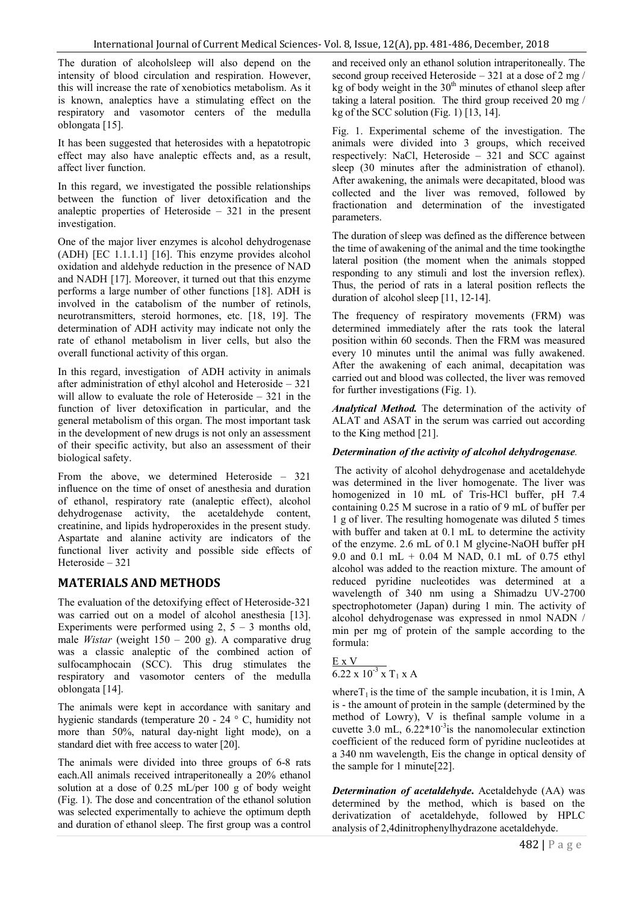The duration of alcoholsleep will also depend on the intensity of blood circulation and respiration. However, this will increase the rate of xenobiotics metabolism. As it is known, analeptics have a stimulating effect on the respiratory and vasomotor centers of the medulla oblongata [15].

It has been suggested that heterosides with a hepatotropic effect may also have analeptic effects and, as a result, affect liver function.

In this regard, we investigated the possible relationships between the function of liver detoxification and the analeptic properties of Heteroside – 321 in the present investigation.

One of the major liver enzymes is alcohol dehydrogenase (ADH) [EC 1.1.1.1] [16]. This enzyme provides alcohol oxidation and aldehyde reduction in the presence of NAD and NADH [17]. Moreover, it turned out that this enzyme performs a large number of other functions [18]. ADH is involved in the catabolism of the number of retinols, neurotransmitters, steroid hormones, etc. [18, 19]. The determination of ADH activity may indicate not only the rate of ethanol metabolism in liver cells, but also the overall functional activity of this organ.

In this regard, investigation of ADH activity in animals after administration of ethyl alcohol and Heteroside – 321 will allow to evaluate the role of Heteroside – 321 in the function of liver detoxification in particular, and the general metabolism of this organ. The most important task in the development of new drugs is not only an assessment of their specific activity, but also an assessment of their biological safety.

From the above, we determined Heteroside – 321 influence on the time of onset of anesthesia and duration of ethanol, respiratory rate (analeptic effect), alcohol dehydrogenase activity, the acetaldehyde content, creatinine, and lipids hydroperoxides in the present study. Aspartate and alanine activity are indicators of the functional liver activity and possible side effects of Heteroside – 321

## **MATERIALS AND METHODS**

The evaluation of the detoxifying effect of Heteroside-321 was carried out on a model of alcohol anesthesia [13]. Experiments were performed using  $2$ ,  $5 - 3$  months old, male *Wistar* (weight 150 – 200 g). A comparative drug was a classic analeptic of the combined action of sulfocamphocain (SCC). This drug stimulates the respiratory and vasomotor centers of the medulla oblongata [14].

The animals were kept in accordance with sanitary and hygienic standards (temperature 20 - 24 ° C, humidity not more than 50%, natural day-night light mode), on a standard diet with free access to water [20].

The animals were divided into three groups of 6-8 rats each.All animals received intraperitoneally a 20% ethanol solution at a dose of 0.25 mL/per 100 g of body weight (Fig. 1). The dose and concentration of the ethanol solution was selected experimentally to achieve the optimum depth and duration of ethanol sleep. The first group was a control

and received only an ethanol solution intraperitoneally. The second group received Heteroside – 321 at a dose of 2 mg/ kg of body weight in the  $30<sup>th</sup>$  minutes of ethanol sleep after taking a lateral position. The third group received 20 mg / kg of the SCC solution (Fig. 1) [13, 14].

Fig. 1. Experimental scheme of the investigation. The animals were divided into 3 groups, which received respectively: NaCl, Heteroside – 321 and SCC against sleep (30 minutes after the administration of ethanol). After awakening, the animals were decapitated, blood was collected and the liver was removed, followed by fractionation and determination of the investigated parameters.

The duration of sleep was defined as the difference between the time of awakening of the animal and the time tookingthe lateral position (the moment when the animals stopped responding to any stimuli and lost the inversion reflex). Thus, the period of rats in a lateral position reflects the duration of alcohol sleep [11, 12-14].

The frequency of respiratory movements (FRM) was determined immediately after the rats took the lateral position within 60 seconds. Then the FRM was measured every 10 minutes until the animal was fully awakened. After the awakening of each animal, decapitation was carried out and blood was collected, the liver was removed for further investigations (Fig. 1).

*Analytical Method.* The determination of the activity of ALAT and ASAT in the serum was carried out according to the King method [21].

## *Determination of the activity of alcohol dehydrogenase.*

The activity of alcohol dehydrogenase and acetaldehyde was determined in the liver homogenate. The liver was homogenized in 10 mL of Tris-HCl buffer, pH 7.4 containing 0.25 M sucrose in a ratio of 9 mL of buffer per 1 g of liver. The resulting homogenate was diluted 5 times with buffer and taken at 0.1 mL to determine the activity of the enzyme. 2.6 mL of 0.1 M glycine-NaOH buffer pH 9.0 and 0.1 mL + 0.04 M NAD, 0.1 mL of 0.75 ethyl alcohol was added to the reaction mixture. The amount of reduced pyridine nucleotides was determined at a wavelength of 340 nm using a Shimadzu UV-2700 spectrophotometer (Japan) during 1 min. The activity of alcohol dehydrogenase was expressed in nmol NADN / min per mg of protein of the sample according to the formula:

$$
\frac{\text{E} \times \text{V}}{6.22 \times 10^{-3} \times T_1 \times \text{A}}
$$

where $T_1$  is the time of the sample incubation, it is 1min, A is - the amount of protein in the sample (determined by the method of Lowry), V is thefinal sample volume in a cuvette 3.0 mL,  $6.22*10<sup>-3</sup>$  is the nanomolecular extinction coefficient of the reduced form of pyridine nucleotides at a 340 nm wavelength, Еis the change in optical density of the sample for 1 minute[22].

*Determination of acetaldehyde***.** Acetaldehyde (AA) was determined by the method, which is based on the derivatization of acetaldehyde, followed by HPLC analysis of 2,4dinitrophenylhydrazone acetaldehyde.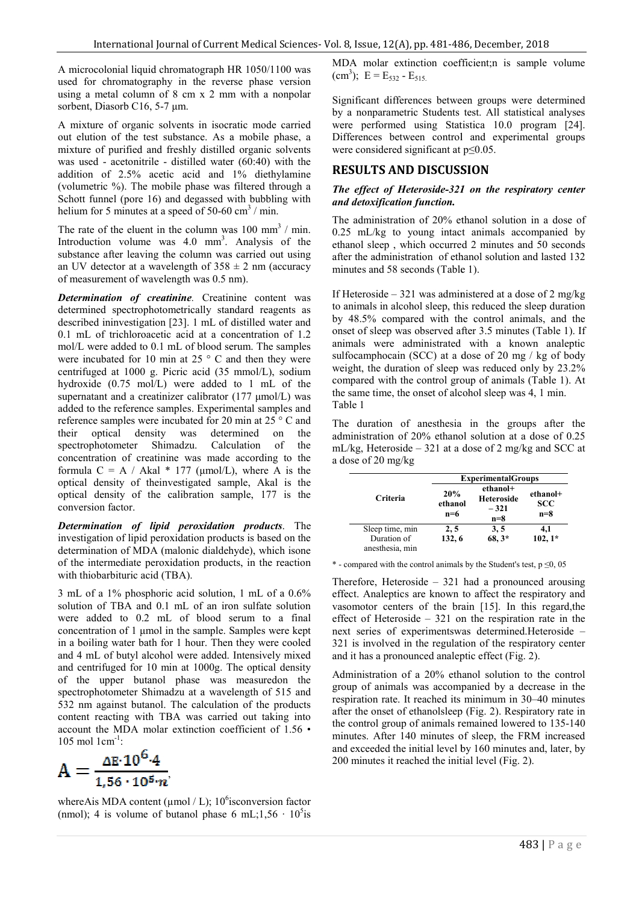A microcolonial liquid chromatograph HR 1050/1100 was used for chromatography in the reverse phase version using a metal column of 8 cm x 2 mm with a nonpolar sorbent, Diasorb C16, 5-7 μm.

A mixture of organic solvents in isocratic mode carried out elution of the test substance. As a mobile phase, a mixture of purified and freshly distilled organic solvents was used - acetonitrile - distilled water (60:40) with the addition of 2.5% acetic acid and 1% diethylamine (volumetric  $\%$ ). The mobile phase was filtered through a Schott funnel (pore 16) and degassed with bubbling with helium for 5 minutes at a speed of 50-60 cm<sup>3</sup> / min. n of the test substance. As a mobile phase, a<br>f purified and freshly distilled organic solvents<br>- acetonitrile - distilled water (60:40) with the<br>of 2.5% acetic acid and  $1%$  diethylamine<br>ic %). The mobile phase was filte

The rate of the eluent in the column was  $100 \text{ mm}^3$  / min. Introduction volume was  $4.0 \text{ mm}^3$ . Analysis of the substance after leaving the column was carried out using an UV detector at a wavelength of  $358 \pm 2$  nm (accuracy of measurement of wavelength was 0.5 nm).

*Determination of creatinine.* Creatinine content was determined spectrophotometrically standard reagents as described ininvestigation [23]. 1 mL of distilled water and 0.1 mL of trichloroacetic acid at a concentration of 1.2 mol/L were added to 0.1 mL of blood serum. The samples were incubated for 10 min at 25 $\degree$  C and then they were centrifuged at 1000 g. Picric acid (35 mmol/L), sodi hydroxide (0.75 mol/L) were added to 1 mL of the supernatant and a creatinizer calibrator (177 μmol/L) was added to the reference samples. Experimental samples and reference samples were incubated for 20 min at 25 ° С and their optical density was determined on the spectrophotometer Shimadzu. Calculation of the concentration of creatinine was made according to the formula C = A / Akal  $*$  177 ( $\mu$ mol/L), where A is the optical density of theinvestigated sample, Akal is the optical density of the calibration sample, 177 is the conversion factor. g the column was carried out using<br>ravelength of  $358 \pm 2$  nm (accuracy<br>velength was 0.5 nm).<br>*eatinine*. Creatinine content was<br>otometrically standard reagents as<br>on [23]. 1 mL of distilled water and<br>etic acid at a con mol/L), where A is the<br>d sample, Akal is the<br>on sample, 177 is the<br>idation products. The

*Determination of lipid peroxidation products* investigation of lipid peroxidation products is based on the determination of MDA (malonic dialdehyde), which isone of the intermediate peroxidation products, in the reaction with thiobarbituric acid (TBA).

3 mL of a 1% phosphoric acid solution, 1 mL of a 0.6% solution of TBA and 0.1 mL of an iron sulfate solution were added to 0.2 mL of blood serum to a final concentration of 1 μmol in the sample. Samples were kept in a boiling water bath for 1 hour. Then they were cooled and 4 mL of butyl alcohol were added. Intensively mixed and centrifuged for 10 min at 1000g. The optical density of the upper butanol phase was measuredon the spectrophotometer Shimadzu at a wavelength of 515 and 532 nm against butanol. The calculation of the products content reacting with TBA was carried out taking into account the MDA molar extinction coefficient of 1.56 • 105 mol 1cm-1 : e intermediate peroxidation products, in the reaction<br>thiobarbituric acid (TBA).<br>
Let a 1% phosphoric acid solution, 1 mL of a 0.6<br>
ion of TBA and 0.1 mL of an iron sulfate solution<br>
added to 0.2 mL of blood serum to a f



whereAis MDA content ( $\mu$ mol / L); 10<sup>6</sup> isconversion factor (nmol); 4 is volume of butanol phase 6 mL; $1,56 \cdot 10^5$  is MDA molar extinction coefficient;n is sample volume (cm<sup>3</sup>); E = E<sub>532</sub> - E<sub>515.</sub>

Significant differences between groups were determined by a nonparametric Students test. All statistical analyses were performed using Statistica 10.0 program [24]. Differences between control and experimental groups were considered significant at  $p \leq 0.05$ . A molar extinction coefficient; is sample volume  $a^3$ );  $E = E_{532} - E_{515}$ .<br>nificant differences between groups were determined a nonparametric Students test. All statistical analyses were performed using Statistica 10.0<br>Differences between control and exper<br>were considered significant at  $p \le 0.05$ .

## **RESULTS AND DISCUSSION**

#### *The effect of Heteroside-321 on the respiratory center 321 and detoxification function.*

The administration of 20% ethanol solution in a dose of 0.25 mL/kg to young intact animals accompanied by ethanol sleep , which occurred 2 minutes and 50 seconds after the administration of ethanol solution and lasted 132 minutes and 58 seconds (Table 1). The administration of 20% ethanol solution in a dose of 0.25 mL/kg to young intact animals accompanied by ethanol sleep, which occurred 2 minutes and 50 seconds after the administration of ethanol solution and lasted 132

If Heteroside – 321 was administered at a dose of 2 mg/kg to animals in alcohol sleep, this reduced the sleep duration by 48.5% compared with the control animals, and the onset of sleep was observed after 3.5 minutes (Table 1). animals were administrated with a known analeptic sulfocamphocain (SCC) at a dose of 20 mg / kg of body weight, the duration of sleep was reduced only by 23.2% compared with the control group of animals (Table 1). At the same time, the onset of alcohol sleep was 4, 1 min. Table 1 sulfocamphocain (SCC) at a dose of 20 mg / kg of body weight, the duration of sleep was reduced only by  $23.2\%$  compared with the control group of animals (Table 1). At the same time, the onset of alcohol sleep was 4, 1

The duration of anesthesia in the groups after the administration of 20% ethanol solution at a dose of 0.25 mL/kg, Heteroside – 321 at a dose of 2 mg/kg and SCC at a dose of 20 mg/kg duration of anesthesia in the groups at<br>nistration of 20% ethanol solution at a dose<br>g, Heteroside – 321 at a dose of 2 mg/kg and

|                                                   | <b>ExperimentalGroups</b> |                                                  |                                 |
|---------------------------------------------------|---------------------------|--------------------------------------------------|---------------------------------|
| Criteria                                          | 20%<br>ethanol<br>$n=6$   | ethanol+<br><b>Heteroside</b><br>$-321$<br>$n=8$ | ethanol+<br><b>SCC</b><br>$n=8$ |
| Sleep time, min<br>Duration of<br>anesthesia, min | 2, 5<br>132, 6            | 3, 5<br>68, 3*                                   | 4,1<br>$102, 1*$                |

\* - compared with the control animals by the Student's test,  $p \le 0$ , 05

Therefore, Heteroside  $-321$  had a pronounced arousing effect. Analeptics are known to affect the respiratory and vasomotor centers of the brain [15]. In this regard,the effect of Heteroside – 321 on the respiration rate in the next series of experimentswas determined.Heteroside 321 is involved in the regulation of the respiratory center and it has a pronounced analeptic effect (Fig. 2). Analeptics are known to affect the respiratory and<br>notor centers of the brain [15]. In this regard, the<br> $\circ$  of Heteroside – 321 on the respiration rate in the<br>series of experimentswas determined. Heteroside

Administration of a 20% ethanol solution to the control group of animals was accompanied by a decrease in the respiration rate. It reached its minimum in 30–40 minutes after the onset of ethanolsleep (Fig. 2). Respiratory rate in the control group of animals remained lowered to 135-140 minutes. After 140 minutes of sleep, the FRM increased and exceeded the initial level by 160 minutes and, later, by 200 minutes it reached the initial level (Fig. 2). 321 is involved in the regulation of the respiratory center<br>and it has a pronounced analeptic effect (Fig. 2).<br>Administration of a 20% ethanol solution to the control<br>group of animals was accompanied by a decrease in the<br> minutes. After 140 minutes of sleep, the FRM is<br>and exceeded the initial level by 160 minutes and,<br>200 minutes it reached the initial level (Fig. 2).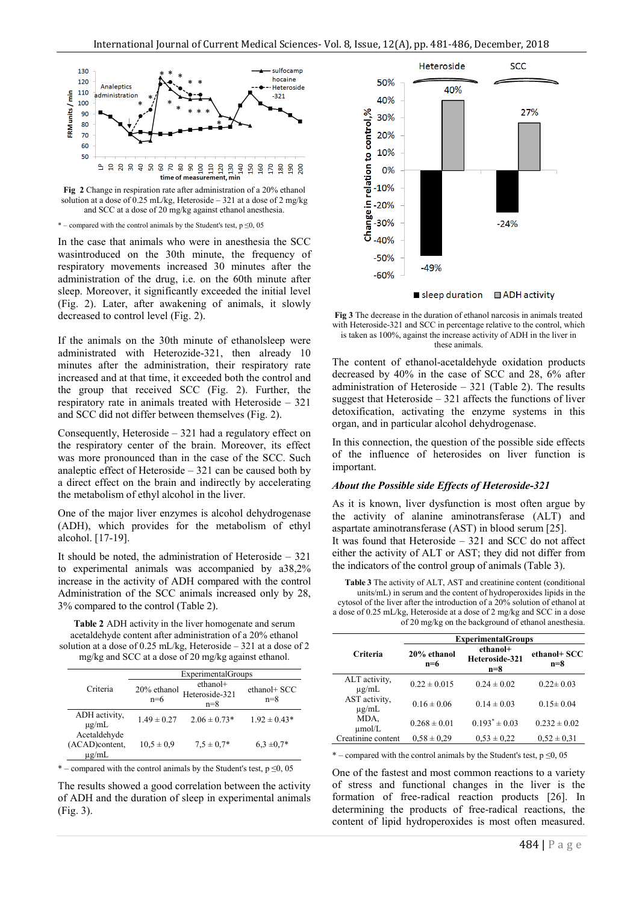

**Fig 2** Change in respiration rate after administration of a 20% ethanol solution at a dose of 0.25 mL/kg, Heteroside – 321 at a dose of 2 mg/kg and SCC at a dose of 20 mg/kg against ethanol anesthesia.

\* – compared with the control animals by the Student's test,  $p \le 0$ , 05

In the case that animals who were in anesthesia the SCC wasintroduced on the 30th minute, the frequency of respiratory movements increased 30 minutes after the administration of the drug, i.e. on the 60th minute after sleep. Moreover, it significantly exceeded the initial level (Fig. 2). Later, after awakening of animals, it slowly decreased to control level (Fig. 2).

If the animals on the 30th minute of ethanolsleep were administrated with Heterozide-321, then already 10 minutes after the administration, their respiratory rate increased and at that time, it exceeded both the control and the group that received SCC (Fig. 2). Further, the respiratory rate in animals treated with Heteroside – 321 and SCC did not differ between themselves (Fig. 2).

Consequently, Heteroside – 321 had a regulatory effect on the respiratory center of the brain. Moreover, its effect was more pronounced than in the case of the SCC. Such analeptic effect of Heteroside  $-321$  can be caused both by a direct effect on the brain and indirectly by accelerating the metabolism of ethyl alcohol in the liver.

One of the major liver enzymes is alcohol dehydrogenase (ADH), which provides for the metabolism of ethyl alcohol. [17-19].

It should be noted, the administration of Heteroside – 321 to experimental animals was accompanied by a38,2% increase in the activity of ADH compared with the control Administration of the SCC animals increased only by 28, 3% compared to the control (Table 2).

**Table 2** ADH activity in the liver homogenate and serum acetaldehyde content after administration of a 20% ethanol solution at a dose of 0.25 mL/kg, Heteroside – 321 at a dose of 2 mg/kg and SCC at a dose of 20 mg/kg against ethanol.

|                                                    | <b>Experimental Groups</b> |                                     |                       |  |  |
|----------------------------------------------------|----------------------------|-------------------------------------|-----------------------|--|--|
| Criteria                                           | 20% ethanol<br>$n=6$       | ethanol+<br>Heteroside-321<br>$n=8$ | ethanol+ SCC<br>$n=8$ |  |  |
| ADH activity,<br>$\mu$ g/mL                        | $1.49 \pm 0.27$            | $2.06 \pm 0.73*$                    | $1.92 \pm 0.43*$      |  |  |
| Acetaldehyde<br>(ACAD)content,<br>$\mu\text{g/mL}$ | $10.5 \pm 0.9$             | $7.5 \pm 0.7*$                      | $6.3 \pm 0.7^*$       |  |  |

\* – compared with the control animals by the Student's test,  $p \le 0$ , 05

The results showed a good correlation between the activity of ADH and the duration of sleep in experimental animals (Fig. 3).



**Fig 3** The decrease in the duration of ethanol narcosis in animals treated with Heteroside-321 and SCC in percentage relative to the control, which is taken as 100%, against the increase activity of ADH in the liver in these animals.

The content of ethanol-acetaldehyde oxidation products decreased by 40% in the case of SCC and 28, 6% after administration of Heteroside – 321 (Table 2). The results suggest that Heteroside – 321 affects the functions of liver detoxification, activating the enzyme systems in this organ, and in particular alcohol dehydrogenase.

In this connection, the question of the possible side effects of the influence of heterosides on liver function is important.

#### *About the Possible side Effects of Heteroside-321*

As it is known, liver dysfunction is most often argue by the activity of alanine aminotransferase (ALT) and aspartate aminotransferase (AST) in blood serum [25]. It was found that Heteroside – 321 and SCC do not affect either the activity of ALT or AST; they did not differ from the indicators of the control group of animals (Table 3).

**Table 3** The activity of ALT, AST and creatinine content (conditional units/mL) in serum and the content of hydroperoxides lipids in the cytosol of the liver after the introduction of a 20% solution of ethanol at a dose of 0.25 mL/kg, Heteroside at a dose of 2 mg/kg and SCC in a dose of 20 mg/kg on the background of ethanol anesthesia.

|                             | <b>ExperimentalGroups</b> |                                     |                       |  |
|-----------------------------|---------------------------|-------------------------------------|-----------------------|--|
| <b>Criteria</b>             | 20% ethanol<br>$n=6$      | ethanol+<br>Heteroside-321<br>$n=8$ | ethanol+ SCC<br>$n=8$ |  |
| ALT activity,<br>$\mu$ g/mL | $0.22 \pm 0.015$          | $0.24 \pm 0.02$                     | $0.22 \pm 0.03$       |  |
| AST activity,<br>$\mu$ g/mL | $0.16 \pm 0.06$           | $0.14 \pm 0.03$                     | $0.15 \pm 0.04$       |  |
| MDA,<br>umol/L              | $0.268 \pm 0.01$          | $0.193^* \pm 0.03$                  | $0.232 \pm 0.02$      |  |
| Creatinine content          | $0.58 \pm 0.29$           | $0.53 \pm 0.22$                     | $0.52 \pm 0.31$       |  |
|                             |                           |                                     |                       |  |

\* – compared with the control animals by the Student's test,  $p \le 0$ , 05

One of the fastest and most common reactions to a variety of stress and functional changes in the liver is the formation of free-radical reaction products [26]. In determining the products of free-radical reactions, the content of lipid hydroperoxides is most often measured.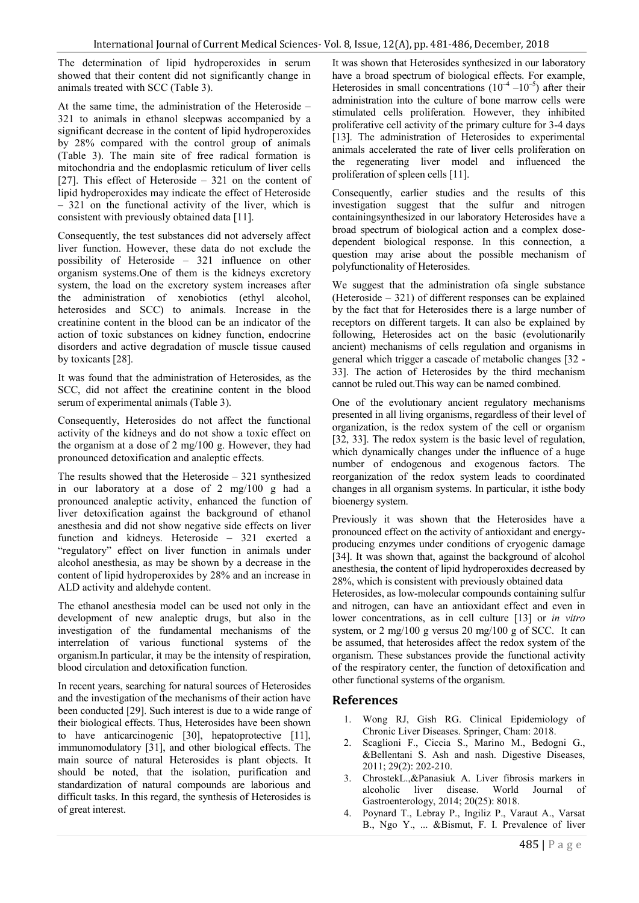The determination of lipid hydroperoxides in serum showed that their content did not significantly change in animals treated with SCC (Table 3).

At the same time, the administration of the Heteroside – 321 to animals in ethanol sleepwas accompanied by a significant decrease in the content of lipid hydroperoxides by 28% compared with the control group of animals (Table 3). The main site of free radical formation is mitochondria and the endoplasmic reticulum of liver cells [27]. This effect of Heteroside – 321 on the content of lipid hydroperoxides may indicate the effect of Heteroside – 321 on the functional activity of the liver, which is consistent with previously obtained data [11].

Consequently, the test substances did not adversely affect liver function. However, these data do not exclude the possibility of Heteroside – 321 influence on other organism systems.One of them is the kidneys excretory system, the load on the excretory system increases after the administration of xenobiotics (ethyl alcohol, heterosides and SCC) to animals. Increase in the creatinine content in the blood can be an indicator of the action of toxic substances on kidney function, endocrine disorders and active degradation of muscle tissue caused by toxicants [28].

It was found that the administration of Heterosides, as the SCC, did not affect the creatinine content in the blood serum of experimental animals (Table 3).

Consequently, Heterosides do not affect the functional activity of the kidneys and do not show a toxic effect on the organism at a dose of 2 mg/100 g. However, they had pronounced detoxification and analeptic effects.

The results showed that the Heteroside – 321 synthesized in our laboratory at a dose of 2 mg/100 g had a pronounced analeptic activity, enhanced the function of liver detoxification against the background of ethanol anesthesia and did not show negative side effects on liver function and kidneys. Heteroside – 321 exerted a "regulatory" effect on liver function in animals under alcohol anesthesia, as may be shown by a decrease in the content of lipid hydroperoxides by 28% and an increase in ALD activity and aldehyde content.

The ethanol anesthesia model can be used not only in the development of new analeptic drugs, but also in the investigation of the fundamental mechanisms of the interrelation of various functional systems of the organism.In particular, it may be the intensity of respiration, blood circulation and detoxification function.

In recent years, searching for natural sources of Heterosides and the investigation of the mechanisms of their action have been conducted [29]. Such interest is due to a wide range of their biological effects. Thus, Heterosides have been shown to have anticarcinogenic [30], hepatoprotective [11], immunomodulatory [31], and other biological effects. The main source of natural Heterosides is plant objects. It should be noted, that the isolation, purification and standardization of natural compounds are laborious and difficult tasks. In this regard, the synthesis of Heterosides is of great interest.

It was shown that Heterosides synthesized in our laboratory have a broad spectrum of biological effects. For example, Heterosides in small concentrations  $(10^{-4} - 10^{-5})$  after their administration into the culture of bone marrow cells were stimulated cells proliferation. However, they inhibited proliferative cell activity of the primary culture for 3-4 days [13]. The administration of Heterosides to experimental animals accelerated the rate of liver cells proliferation on the regenerating liver model and influenced the proliferation of spleen cells [11].

Consequently, earlier studies and the results of this investigation suggest that the sulfur and nitrogen containingsynthesized in our laboratory Heterosides have a broad spectrum of biological action and a complex dosedependent biological response. In this connection, a question may arise about the possible mechanism of polyfunctionality of Heterosides.

We suggest that the administration ofa single substance (Heteroside – 321) of different responses can be explained by the fact that for Heterosides there is a large number of receptors on different targets. It can also be explained by following, Heterosides act on the basic (evolutionarily ancient) mechanisms of cells regulation and organisms in general which trigger a cascade of metabolic changes [32 - 33]. The action of Heterosides by the third mechanism cannot be ruled out.This way can be named combined.

One of the evolutionary ancient regulatory mechanisms presented in all living organisms, regardless of their level of organization, is the redox system of the cell or organism [32, 33]. The redox system is the basic level of regulation, which dynamically changes under the influence of a huge number of endogenous and exogenous factors. The reorganization of the redox system leads to coordinated changes in all organism systems. In particular, it isthe body bioenergy system.

Previously it was shown that the Heterosides have a pronounced effect on the activity of antioxidant and energyproducing enzymes under conditions of cryogenic damage [34]. It was shown that, against the background of alcohol anesthesia, the content of lipid hydroperoxides decreased by 28%, which is consistent with previously obtained data

Heterosides, as low-molecular compounds containing sulfur and nitrogen, can have an antioxidant effect and even in lower concentrations, as in cell culture [13] or *in vitro* system, or 2 mg/100 g versus 20 mg/100 g of SCC. It can be assumed, that heterosides affect the redox system of the organism. These substances provide the functional activity of the respiratory center, the function of detoxification and other functional systems of the organism.

## **References**

- 1. Wong RJ, Gish RG. Clinical Epidemiology of Chronic Liver Diseases. Springer, Cham: 2018.
- 2. Scaglioni F., Ciccia S., Marino M., Bedogni G., &Bellentani S. Ash and nash. Digestive Diseases, 2011; 29(2): 202-210.
- 3. ChrostekL.,&Panasiuk A. Liver fibrosis markers in alcoholic liver disease. World Journal of Gastroenterology, 2014; 20(25): 8018.
- 4. Poynard T., Lebray P., Ingiliz P., Varaut A., Varsat B., Ngo Y., ... &Bismut, F. I. Prevalence of liver